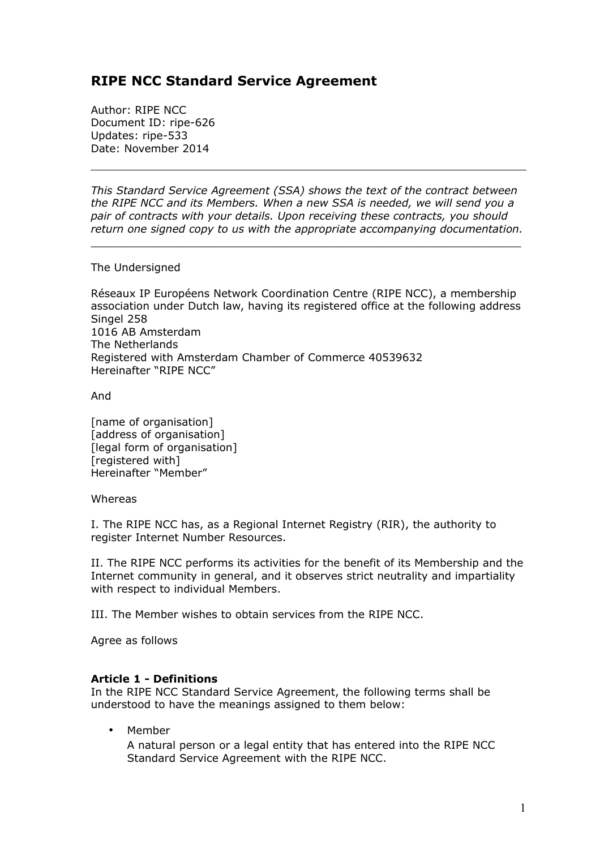# **RIPE NCC Standard Service Agreement**

Author: RIPE NCC Document ID: ripe-626 Updates: ripe-533 Date: November 2014

*This Standard Service Agreement (SSA) shows the text of the contract between the RIPE NCC and its Members. When a new SSA is needed, we will send you a pair of contracts with your details. Upon receiving these contracts, you should return one signed copy to us with the appropriate accompanying documentation.*

 $\_$  ,  $\_$  ,  $\_$  ,  $\_$  ,  $\_$  ,  $\_$  ,  $\_$  ,  $\_$  ,  $\_$  ,  $\_$  ,  $\_$  ,  $\_$  ,  $\_$  ,  $\_$  ,  $\_$  ,  $\_$  ,  $\_$  ,  $\_$  ,  $\_$  ,  $\_$ 

The Undersigned

Réseaux IP Européens Network Coordination Centre (RIPE NCC), a membership association under Dutch law, having its registered office at the following address Singel 258 1016 AB Amsterdam The Netherlands Registered with Amsterdam Chamber of Commerce 40539632 Hereinafter "RIPE NCC"

And

[name of organisation] [address of organisation] [legal form of organisation] [registered with] Hereinafter "Member"

Whereas

I. The RIPE NCC has, as a Regional Internet Registry (RIR), the authority to register Internet Number Resources.

II. The RIPE NCC performs its activities for the benefit of its Membership and the Internet community in general, and it observes strict neutrality and impartiality with respect to individual Members.

III. The Member wishes to obtain services from the RIPE NCC.

Agree as follows

### **Article 1 - Definitions**

In the RIPE NCC Standard Service Agreement, the following terms shall be understood to have the meanings assigned to them below:

• Member

A natural person or a legal entity that has entered into the RIPE NCC Standard Service Agreement with the RIPE NCC.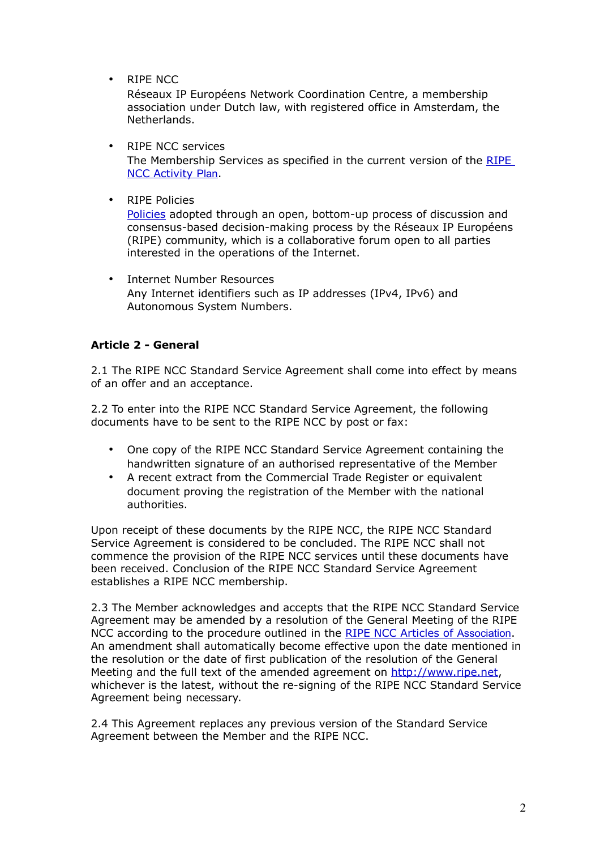• RIPE NCC

Réseaux IP Européens Network Coordination Centre, a membership association under Dutch law, with registered office in Amsterdam, the Netherlands.

- RIPE NCC services The Membership Services as specified in the current version of the [RIPE](http://www.ripe.net/ripe/docs/ap)  [NCC Activity](http://www.ripe.net/ripe/docs/ap) [Plan](http://www.ripe.net/ripe/docs/ap).
- RIPE Policies

[Policies](http://www.ripe.net/ripe/docs/current-ripe-documents/ripe-policies) adopted through an open, bottom-up process of discussion and consensus-based decision-making process by the Réseaux IP Européens (RIPE) community, which is a collaborative forum open to all parties interested in the operations of the Internet.

• Internet Number Resources Any Internet identifiers such as IP addresses (IPv4, IPv6) and Autonomous System Numbers.

## **Article 2 - General**

2.1 The RIPE NCC Standard Service Agreement shall come into effect by means of an offer and an acceptance.

2.2 To enter into the RIPE NCC Standard Service Agreement, the following documents have to be sent to the RIPE NCC by post or fax:

- One copy of the RIPE NCC Standard Service Agreement containing the handwritten signature of an authorised representative of the Member
- A recent extract from the Commercial Trade Register or equivalent document proving the registration of the Member with the national authorities.

Upon receipt of these documents by the RIPE NCC, the RIPE NCC Standard Service Agreement is considered to be concluded. The RIPE NCC shall not commence the provision of the RIPE NCC services until these documents have been received. Conclusion of the RIPE NCC Standard Service Agreement establishes a RIPE NCC membership.

2.3 The Member acknowledges and accepts that the RIPE NCC Standard Service Agreement may be amended by a resolution of the General Meeting of the RIPE NCC according to the procedure outlined in the [RIPE NCC Articles of](http://www.ripe.net/ripe/docs/articles-association) [Association](http://www.ripe.net/ripe/docs/articles-association). An amendment shall automatically become effective upon the date mentioned in the resolution or the date of first publication of the resolution of the General Meeting and the full text of the amended agreement on [http://www.ripe.net,](http://www.ripe.net/) whichever is the latest, without the re-signing of the RIPE NCC Standard Service Agreement being necessary.

2.4 This Agreement replaces any previous version of the Standard Service Agreement between the Member and the RIPE NCC.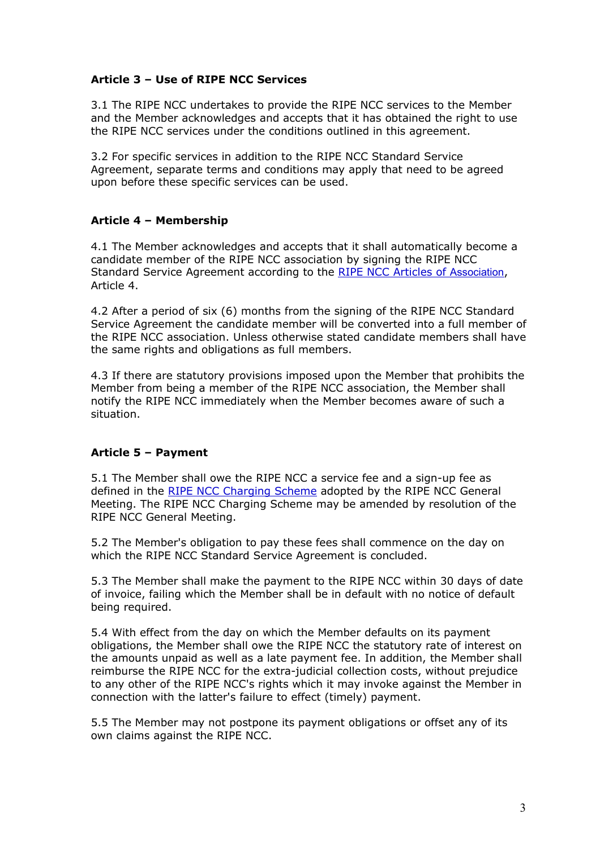## **Article 3 – Use of RIPE NCC Services**

3.1 The RIPE NCC undertakes to provide the RIPE NCC services to the Member and the Member acknowledges and accepts that it has obtained the right to use the RIPE NCC services under the conditions outlined in this agreement.

3.2 For specific services in addition to the RIPE NCC Standard Service Agreement, separate terms and conditions may apply that need to be agreed upon before these specific services can be used.

## **Article 4 – Membership**

4.1 The Member acknowledges and accepts that it shall automatically become a candidate member of the RIPE NCC association by signing the RIPE NCC Standard Service Agreement according to the [RIPE NCC Articles of](http://www.ripe.net/ripe/docs/articles-association) [Association](http://www.ripe.net/ripe/docs/articles-association), Article 4.

4.2 After a period of six (6) months from the signing of the RIPE NCC Standard Service Agreement the candidate member will be converted into a full member of the RIPE NCC association. Unless otherwise stated candidate members shall have the same rights and obligations as full members.

4.3 If there are statutory provisions imposed upon the Member that prohibits the Member from being a member of the RIPE NCC association, the Member shall notify the RIPE NCC immediately when the Member becomes aware of such a situation.

# **Article 5 – Payment**

5.1 The Member shall owe the RIPE NCC a service fee and a sign-up fee as defined in the [RIPE NCC Charging Scheme](http://www.ripe.net/ripe/docs/charging) adopted by the RIPE NCC General Meeting. The RIPE NCC Charging Scheme may be amended by resolution of the RIPE NCC General Meeting.

5.2 The Member's obligation to pay these fees shall commence on the day on which the RIPE NCC Standard Service Agreement is concluded.

5.3 The Member shall make the payment to the RIPE NCC within 30 days of date of invoice, failing which the Member shall be in default with no notice of default being required.

5.4 With effect from the day on which the Member defaults on its payment obligations, the Member shall owe the RIPE NCC the statutory rate of interest on the amounts unpaid as well as a late payment fee. In addition, the Member shall reimburse the RIPE NCC for the extra-judicial collection costs, without prejudice to any other of the RIPE NCC's rights which it may invoke against the Member in connection with the latter's failure to effect (timely) payment.

5.5 The Member may not postpone its payment obligations or offset any of its own claims against the RIPE NCC.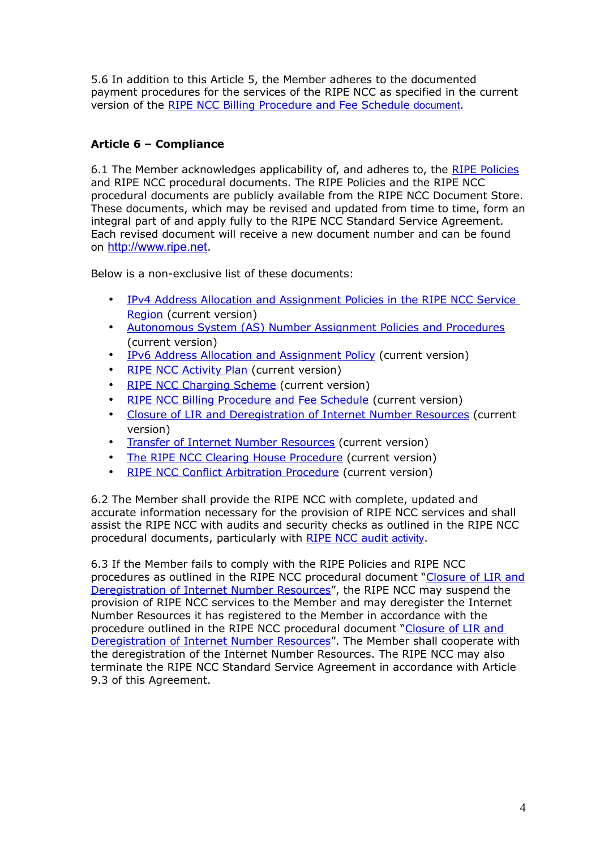5.6 In addition to this Article 5, the Member adheres to the documented payment procedures for the services of the RIPE NCC as specified in the current version of the [RIPE NCC Billing Procedure and Fee Schedule](http://www.ripe.net/lir-services/billing/procedure) [document](http://www.ripe.net/lir-services/billing/procedure).

# **Article 6 – Compliance**

6.1 The Member acknowledges applicability of, and adheres to, the [RIPE Policies](http://www.ripe.net/ripe/docs/current-ripe-documents/ripe-policies) and RIPE NCC procedural documents. The RIPE Policies and the RIPE NCC procedural documents are publicly available from the RIPE NCC Document Store. These documents, which may be revised and updated from time to time, form an integral part of and apply fully to the RIPE NCC Standard Service Agreement. Each revised document will receive a new document number and can be found on [http://www.ripe.net](http://www.ripe.net/).

Below is a non-exclusive list of these documents:

- • [IPv4 Address Allocation and Assignment Policies in the RIPE NCC Service](http://www.ripe.net/ripe/docs/ipv4-policies) [Region](http://www.ripe.net/ripe/docs/ipv4-policies) (current version)
- • [Autonomous System \(AS\) Number Assignment Policies and Procedures](http://www.ripe.net/ripe/docs/asn-assignment) (current version)
- • [IPv6 Address Allocation and Assignment Policy](http://www.ripe.net/ripe/docs/ipv6-policies) (current version)
- • [RIPE NCC Activity Plan](http://www.ripe.net/ripe/docs/ap) (current version)
- • [RIPE NCC Charging Scheme](http://www.ripe.net/ripe/docs/charging) (current version)
- [RIPE NCC Billing Procedure and Fee Schedule](http://www.ripe.net/lir-services/billing/procedure) (current version)
- • [Closure of LIR and Deregistration of Internet Number Resources](http://www.ripe.net/ripe/docs/closure%20) (current version)
- • [Transfer of Internet Number Resources](http://www.ripe.net/ripe/docs/transfer) (current version)
- The RIPE NCC Clearing House Procedure (current version)
- • [RIPE NCC Conflict Arbitration Procedure](http://www.ripe.net/ripe/docs/arbitration) (current version)

6.2 The Member shall provide the RIPE NCC with complete, updated and accurate information necessary for the provision of RIPE NCC services and shall assist the RIPE NCC with audits and security checks as outlined in the RIPE NCC procedural documents, particularly with [RIPE NCC audit](http://www.ripe.net/ripe/docs/audit%20) [activity](http://www.ripe.net/ripe/docs/audit%20).

6.3 If the Member fails to comply with the RIPE Policies and RIPE NCC procedures as outlined in the RIPE NCC procedural document "Closure of LIR and  [Deregistration of Internet Number Resources"](http://www.ripe.net/ripe/docs/closure), the RIPE NCC may suspend the provision of RIPE NCC services to the Member and may deregister the Internet Number Resources it has registered to the Member in accordance with the procedure outlined in the RIPE NCC procedural document "Closure of LIR and  [Deregistration of Internet Number Resources"](http://www.ripe.net/ripe/docs/closure). The Member shall cooperate with the deregistration of the Internet Number Resources. The RIPE NCC may also terminate the RIPE NCC Standard Service Agreement in accordance with Article 9.3 of this Agreement.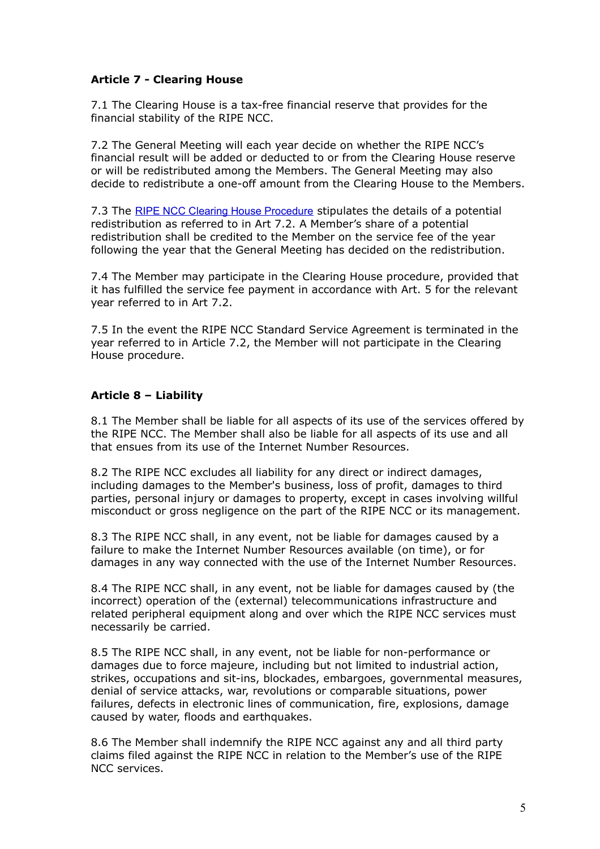### **Article 7 - Clearing House**

7.1 The Clearing House is a tax-free financial reserve that provides for the financial stability of the RIPE NCC.

7.2 The General Meeting will each year decide on whether the RIPE NCC's financial result will be added or deducted to or from the Clearing House reserve or will be redistributed among the Members. The General Meeting may also decide to redistribute a one-off amount from the Clearing House to the Members.

7.3 The [RIPE NCC Clearing House Procedure](http://www.ripe.net/ripe/docs/clearinghouse) stipulates the details of a potential redistribution as referred to in Art 7.2. A Member's share of a potential redistribution shall be credited to the Member on the service fee of the year following the year that the General Meeting has decided on the redistribution.

7.4 The Member may participate in the Clearing House procedure, provided that it has fulfilled the service fee payment in accordance with Art. 5 for the relevant year referred to in Art 7.2.

7.5 In the event the RIPE NCC Standard Service Agreement is terminated in the year referred to in Article 7.2, the Member will not participate in the Clearing House procedure.

# **Article 8 – Liability**

8.1 The Member shall be liable for all aspects of its use of the services offered by the RIPE NCC. The Member shall also be liable for all aspects of its use and all that ensues from its use of the Internet Number Resources.

8.2 The RIPE NCC excludes all liability for any direct or indirect damages, including damages to the Member's business, loss of profit, damages to third parties, personal injury or damages to property, except in cases involving willful misconduct or gross negligence on the part of the RIPE NCC or its management.

8.3 The RIPE NCC shall, in any event, not be liable for damages caused by a failure to make the Internet Number Resources available (on time), or for damages in any way connected with the use of the Internet Number Resources.

8.4 The RIPE NCC shall, in any event, not be liable for damages caused by (the incorrect) operation of the (external) telecommunications infrastructure and related peripheral equipment along and over which the RIPE NCC services must necessarily be carried.

8.5 The RIPE NCC shall, in any event, not be liable for non-performance or damages due to force majeure, including but not limited to industrial action, strikes, occupations and sit-ins, blockades, embargoes, governmental measures, denial of service attacks, war, revolutions or comparable situations, power failures, defects in electronic lines of communication, fire, explosions, damage caused by water, floods and earthquakes.

8.6 The Member shall indemnify the RIPE NCC against any and all third party claims filed against the RIPE NCC in relation to the Member's use of the RIPE NCC services.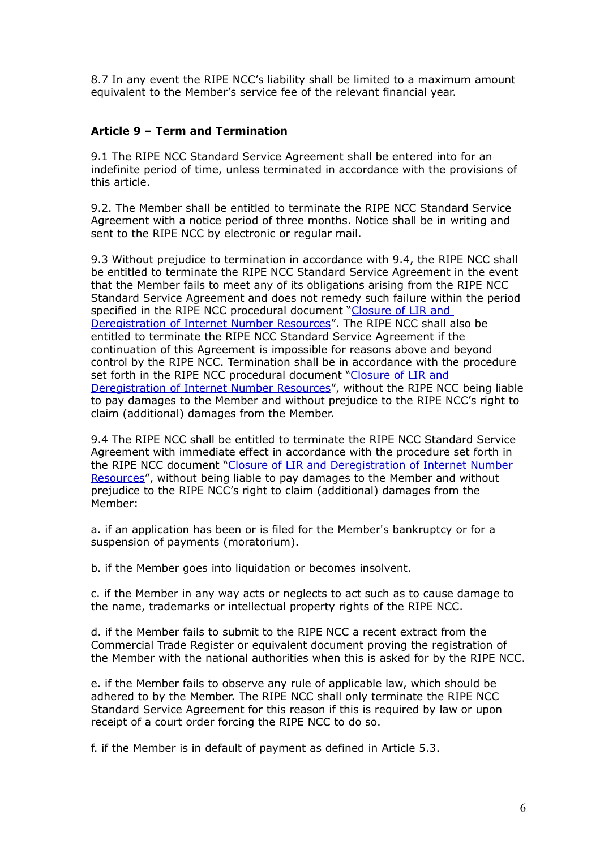8.7 In any event the RIPE NCC's liability shall be limited to a maximum amount equivalent to the Member's service fee of the relevant financial year.

## **Article 9 – Term and Termination**

9.1 The RIPE NCC Standard Service Agreement shall be entered into for an indefinite period of time, unless terminated in accordance with the provisions of this article.

9.2. The Member shall be entitled to terminate the RIPE NCC Standard Service Agreement with a notice period of three months. Notice shall be in writing and sent to the RIPE NCC by electronic or regular mail.

9.3 Without prejudice to termination in accordance with 9.4, the RIPE NCC shall be entitled to terminate the RIPE NCC Standard Service Agreement in the event that the Member fails to meet any of its obligations arising from the RIPE NCC Standard Service Agreement and does not remedy such failure within the period specified in the RIPE NCC procedural document "Closure of LIR and  [Deregistration of Internet Number Resources"](http://www.ripe.net/ripe/docs/closure). The RIPE NCC shall also be entitled to terminate the RIPE NCC Standard Service Agreement if the continuation of this Agreement is impossible for reasons above and beyond control by the RIPE NCC. Termination shall be in accordance with the procedure set forth in the RIPE NCC procedural document "Closure of LIR and  [Deregistration of Internet Number Resources"](http://www.ripe.net/ripe/docs/closure), without the RIPE NCC being liable to pay damages to the Member and without prejudice to the RIPE NCC's right to claim (additional) damages from the Member.

9.4 The RIPE NCC shall be entitled to terminate the RIPE NCC Standard Service Agreement with immediate effect in accordance with the procedure set forth in the RIPE NCC document "Closure of LIR and Deregistration of Internet Number [Resources"](http://www.ripe.net/ripe/docs/closure), without being liable to pay damages to the Member and without prejudice to the RIPE NCC's right to claim (additional) damages from the Member:

a. if an application has been or is filed for the Member's bankruptcy or for a suspension of payments (moratorium).

b. if the Member goes into liquidation or becomes insolvent.

c. if the Member in any way acts or neglects to act such as to cause damage to the name, trademarks or intellectual property rights of the RIPE NCC.

d. if the Member fails to submit to the RIPE NCC a recent extract from the Commercial Trade Register or equivalent document proving the registration of the Member with the national authorities when this is asked for by the RIPE NCC.

e. if the Member fails to observe any rule of applicable law, which should be adhered to by the Member. The RIPE NCC shall only terminate the RIPE NCC Standard Service Agreement for this reason if this is required by law or upon receipt of a court order forcing the RIPE NCC to do so.

f. if the Member is in default of payment as defined in Article 5.3.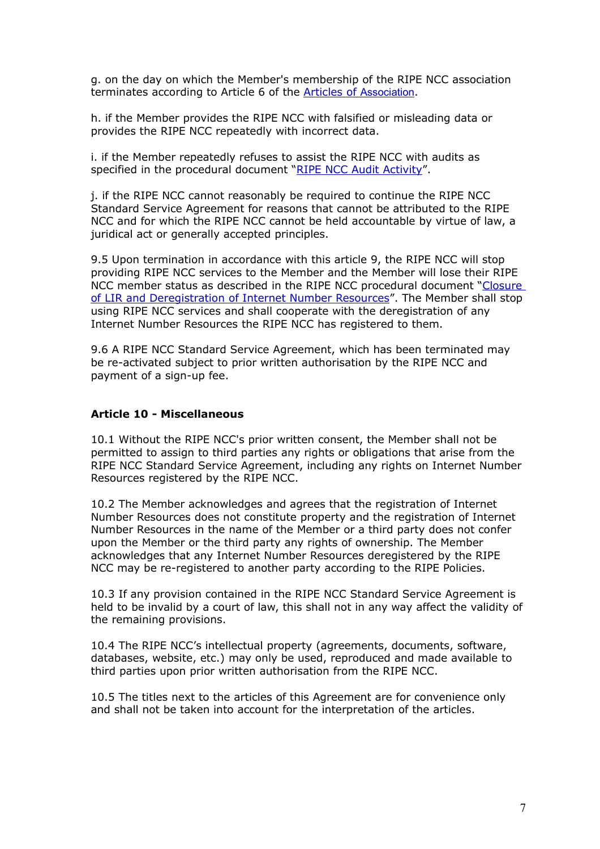g. on the day on which the Member's membership of the RIPE NCC association terminates according to Article 6 of the [Articles of](http://www.ripe.net/ripe/docs/articles-association) [Association](http://www.ripe.net/ripe/docs/articles-association).

h. if the Member provides the RIPE NCC with falsified or misleading data or provides the RIPE NCC repeatedly with incorrect data.

i. if the Member repeatedly refuses to assist the RIPE NCC with audits as specified in the procedural document "RIPE NCC Audit Activity".

j. if the RIPE NCC cannot reasonably be required to continue the RIPE NCC Standard Service Agreement for reasons that cannot be attributed to the RIPE NCC and for which the RIPE NCC cannot be held accountable by virtue of law, a juridical act or generally accepted principles.

9.5 Upon termination in accordance with this article 9, the RIPE NCC will stop providing RIPE NCC services to the Member and the Member will lose their RIPE NCC member status as described in the RIPE NCC procedural document [" Closure](http://www.ripe.net/ripe/docs/closure) of LIR and Deregistration of Internet Number Resources". The Member shall stop using RIPE NCC services and shall cooperate with the deregistration of any Internet Number Resources the RIPE NCC has registered to them.

9.6 A RIPE NCC Standard Service Agreement, which has been terminated may be re-activated subject to prior written authorisation by the RIPE NCC and payment of a sign-up fee.

### **Article 10 - Miscellaneous**

10.1 Without the RIPE NCC's prior written consent, the Member shall not be permitted to assign to third parties any rights or obligations that arise from the RIPE NCC Standard Service Agreement, including any rights on Internet Number Resources registered by the RIPE NCC.

10.2 The Member acknowledges and agrees that the registration of Internet Number Resources does not constitute property and the registration of Internet Number Resources in the name of the Member or a third party does not confer upon the Member or the third party any rights of ownership. The Member acknowledges that any Internet Number Resources deregistered by the RIPE NCC may be re-registered to another party according to the RIPE Policies.

10.3 If any provision contained in the RIPE NCC Standard Service Agreement is held to be invalid by a court of law, this shall not in any way affect the validity of the remaining provisions.

10.4 The RIPE NCC's intellectual property (agreements, documents, software, databases, website, etc.) may only be used, reproduced and made available to third parties upon prior written authorisation from the RIPE NCC.

10.5 The titles next to the articles of this Agreement are for convenience only and shall not be taken into account for the interpretation of the articles.